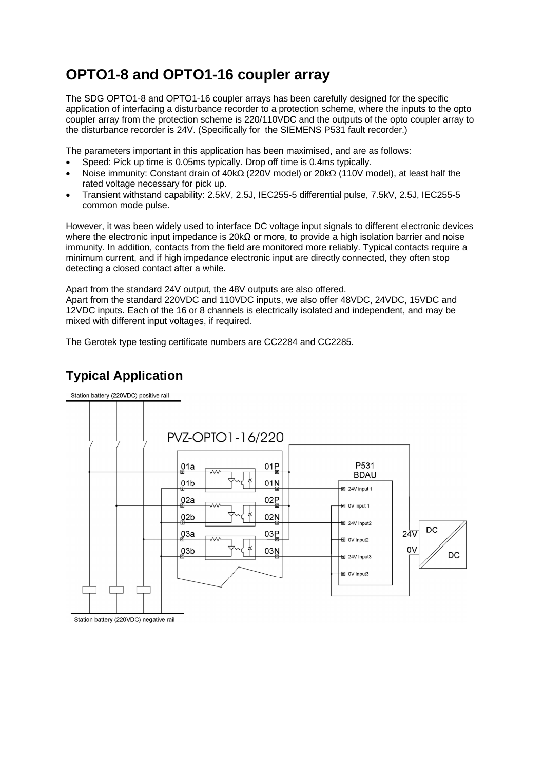## **OPTO1-8 and OPTO1-16 coupler array**

The SDG OPTO1-8 and OPTO1-16 coupler arrays has been carefully designed for the specific application of interfacing a disturbance recorder to a protection scheme, where the inputs to the opto coupler array from the protection scheme is 220/110VDC and the outputs of the opto coupler array to the disturbance recorder is 24V. (Specifically for the SIEMENS P531 fault recorder.)

The parameters important in this application has been maximised, and are as follows:

- Speed: Pick up time is 0.05ms typically. Drop off time is 0.4ms typically.
- Noise immunity: Constant drain of  $40k\Omega$  (220V model) or 20 $k\Omega$  (110V model), at least half the rated voltage necessary for pick up.
- Transient withstand capability: 2.5kV, 2.5J, IEC255-5 differential pulse, 7.5kV, 2.5J, IEC255-5 common mode pulse.

However, it was been widely used to interface DC voltage input signals to different electronic devices where the electronic input impedance is 20kΩ or more, to provide a high isolation barrier and noise immunity. In addition, contacts from the field are monitored more reliably. Typical contacts require a minimum current, and if high impedance electronic input are directly connected, they often stop detecting a closed contact after a while.

Apart from the standard 24V output, the 48V outputs are also offered.

Apart from the standard 220VDC and 110VDC inputs, we also offer 48VDC, 24VDC, 15VDC and 12VDC inputs. Each of the 16 or 8 channels is electrically isolated and independent, and may be mixed with different input voltages, if required.

The Gerotek type testing certificate numbers are CC2284 and CC2285.





Station battery (220VDC) negative rail